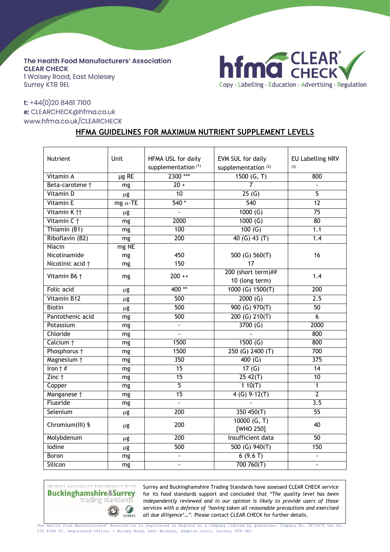The Health Food Manufacturers' Association **CLEAR CHECK** 1 Wolsey Road, East Molesey **Surrey KT8 9EL** 



## t: +44(0)20 8481 7100 e: CLEARCHECK@hfma.co.uk www.hfma.co.uk/CLEARCHECK

## **HFMA GUIDELINES FOR MAXIMUM NUTRIENT SUPPLEMENT LEVELS**

| Nutrient                | Unit            | HFMA USL for daily             | EVM SUL for daily              | EU Labelling NRV |
|-------------------------|-----------------|--------------------------------|--------------------------------|------------------|
|                         |                 | supplementation <sup>(1)</sup> | supplementation <sup>(2)</sup> | (3)              |
| Vitamin A               | $\mu$ g RE      | 2300 ***                       | 1500 (G, T)                    | 800              |
| Beta-carotene †         | mg              | $20 +$                         | $\overline{7}$                 | $\overline{a}$   |
| Vitamin D               | μg              | $\overline{10}$                | 25(6)                          | $\overline{5}$   |
| <b>Vitamin E</b>        | mg $\alpha$ -TE | $540*$                         | 540                            | 12               |
| Vitamin K <sub>11</sub> | $\mu$ g         |                                | 1000(G)                        | $\overline{75}$  |
| Vitamin C +             | mg              | 2000                           | 1000(G)                        | 80               |
| Thiamin (B1)            | mg              | 100                            | 100(G)                         | 1.1              |
| Riboflavin (B2)         | mg              | 200                            | 40 $(G)$ 43 $(T)$              | 1.4              |
| Niacin                  | mg NE           |                                |                                |                  |
| Nicotinamide            | mg              | 450                            | 500 (G) 560(T)                 | 16               |
| Nicotinic acid +        | mg              | 150                            | 17                             |                  |
| Vitamin B6 +            | mg              | $200 + +$                      | 200 (short term)##             | 1.4              |
|                         |                 |                                | 10 (long term)                 |                  |
| Folic acid              | μg              | 400**                          | 1000 (G) 1500(T)               | 200              |
| Vitamin B12             | $\mu$ g         | 500                            | $\overline{2000}$ (G)          | $\overline{2.5}$ |
| <b>Biotin</b>           | $\mu$ g         | 500                            | $\overline{900}$ (G) 970(T)    | 50               |
| Pantothenic acid        | mg              | 500                            | 200 (G) 210(T)                 | $\overline{6}$   |
| Potassium               | mg              | $\blacksquare$                 | 3700(G)                        | 2000             |
| Chloride                | mg              | $\Box$                         |                                | 800              |
| Calcium +               | mg              | 1500                           | 1500(G)                        | 800              |
| Phosphorus †            | mg              | 1500                           | 250 (G) 2400 (T)               | 700              |
| Magnesium +             | mg              | 350                            | 400 $(G)$                      | 375              |
| Iron $\dagger$ #        | mg              | $\overline{15}$                | 17 $(G)$                       | $\overline{14}$  |
| $Zinc$ †                | mg              | $\overline{15}$                | $25 \, 42(T)$                  | $\overline{10}$  |
| Copper                  | mg              | $\overline{5}$                 | 110(T)                         | 1                |
| Manganese †             | mg              | $\overline{15}$                | $4 (G) 9-12(T)$                | $\overline{2}$   |
| Fluoride                | mg              |                                |                                | $\overline{3.5}$ |
| Selenium                | $\mu$ g         | 200                            | 350 450(T)                     | $\overline{55}$  |
| Chromium(III) §         | $\mu$ g         | 200                            | 10000(G, T)                    | 40               |
|                         |                 |                                | [WHO 250]                      |                  |
| Molybdenum              | μg              | 200                            | Insufficient data              | $\overline{50}$  |
| lodine                  | μg              | $\overline{500}$               | 500 $(G)$ 940 $(T)$            | 150              |
| <b>Boron</b>            | mg              | $\blacksquare$                 | 6(9.6T)                        | $\overline{a}$   |
| Silicon                 | mg              | $\blacksquare$                 | 700760(T)                      | $\frac{1}{2}$    |

PRIMARY AUTHORITY PARTNERSHIP WITH **Buckinghamshire&Surrey** trading standards  $\bigcirc$ 

SURREY

Surrey and Buckinghamshire Trading Standards have assessed CLEAR CHECK service for its food standards support and concluded that *"The quality level has been independently reviewed and in our opinion is likely to provide users of those services with a defence of 'having taken all reasonable precautions and exercised all due diligence'…".* Please contact CLEAR CHECK for further details.

The Health Food Manufacturers' Association is registered in England as a company limited by guarantee. Company No. 5873676 Vat No. 233 6384 65. Registered Office: 1 Wolsey Road, East Molesey, Hampton Court, Surrey, KT8 9EL